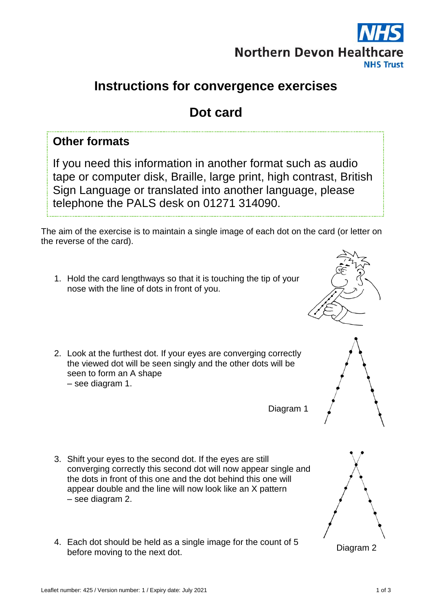

## **Instructions for convergence exercises**

# **Dot card**

## **Other formats**

If you need this information in another format such as audio tape or computer disk, Braille, large print, high contrast, British Sign Language or translated into another language, please telephone the PALS desk on 01271 314090.

The aim of the exercise is to maintain a single image of each dot on the card (or letter on the reverse of the card).

- 1. Hold the card lengthways so that it is touching the tip of your nose with the line of dots in front of you.
- 2. Look at the furthest dot. If your eyes are converging correctly the viewed dot will be seen singly and the other dots will be seen to form an A shape – see diagram 1.

Diagram 1

- 3. Shift your eyes to the second dot. If the eyes are still converging correctly this second dot will now appear single and the dots in front of this one and the dot behind this one will appear double and the line will now look like an X pattern – see diagram 2.
- 4. Each dot should be held as a single image for the count of 5 before moving to the next dot.

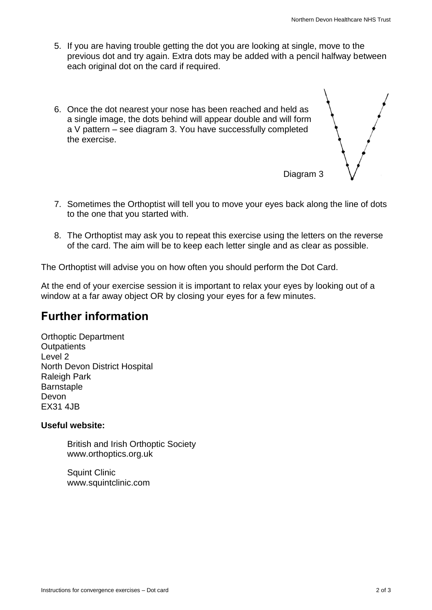Diagram 3

- 5. If you are having trouble getting the dot you are looking at single, move to the previous dot and try again. Extra dots may be added with a pencil halfway between each original dot on the card if required.
- 6. Once the dot nearest your nose has been reached and held as a single image, the dots behind will appear double and will form a V pattern – see diagram 3. You have successfully completed the exercise.



8. The Orthoptist may ask you to repeat this exercise using the letters on the reverse of the card. The aim will be to keep each letter single and as clear as possible.

The Orthoptist will advise you on how often you should perform the Dot Card.

At the end of your exercise session it is important to relax your eyes by looking out of a window at a far away object OR by closing your eyes for a few minutes.

### **Further information**

Orthoptic Department **Outpatients** Level 2 North Devon District Hospital Raleigh Park **Barnstaple** Devon EX31 4JB

#### **Useful website:**

British and Irish Orthoptic Society www.orthoptics.org.uk

Squint Clinic www.squintclinic.com